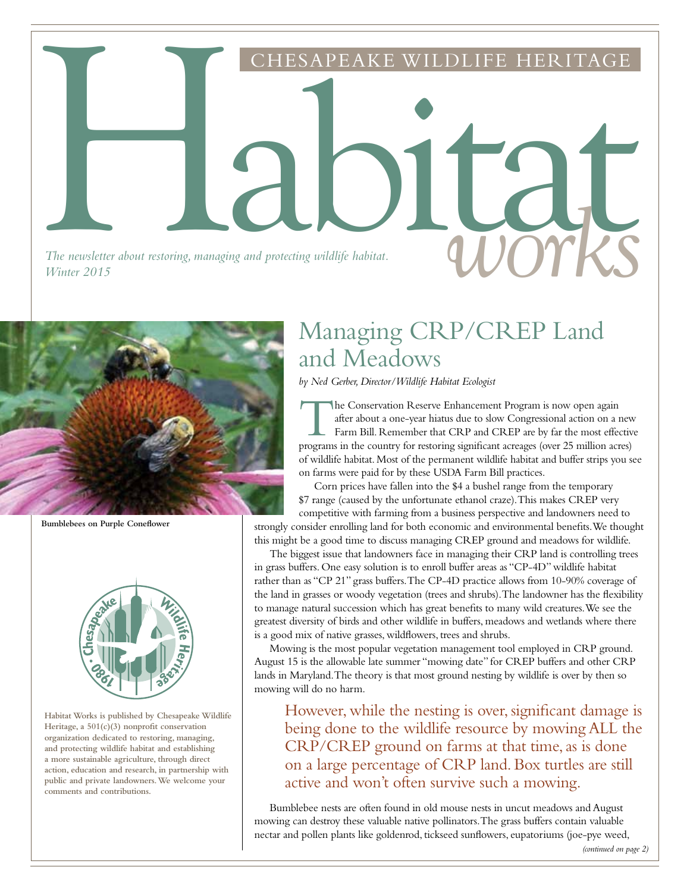The newsletter about restoring, managing and protecting wildlife habitat. The newsletter about restoring, managing and protecting wildlife habitat.<br>Winter 2015 *Winter 2015*



**Bumblebees on Purple Coneflower**



**Habitat Works is published by Chesapeake Wildlife Heritage, a 501(c)(3) nonprofit conservation organization dedicated to restoring, managing, and protecting wildlife habitat and establishing a more sustainable agriculture, through direct action, education and research, in partnership with public and private landowners. We welcome your comments and contributions.**

### Managing CRP/CREP Land and Meadows

ESAPEAKE WILDLIFE HERITA

*by Ned Gerber, Director/Wildlife Habitat Ecologist*

The Conservation Reserve Enhancement Program is now open again after about a one-year hiatus due to slow Congressional action on a new Farm Bill. Remember that CRP and CREP are by far the most effective programs in the country for restoring significant acreages (over 25 million acres) of wildlife habitat. Most of the permanent wildlife habitat and buffer strips you see on farms were paid for by these USDA Farm Bill practices.

Corn prices have fallen into the \$4 a bushel range from the temporary \$7 range (caused by the unfortunate ethanol craze). This makes CREP very competitive with farming from a business perspective and landowners need to strongly consider enrolling land for both economic and environmental benefits. We thought this might be a good time to discuss managing CREP ground and meadows for wildlife.

The biggest issue that landowners face in managing their CRP land is controlling trees in grass buffers. One easy solution is to enroll buffer areas as "CP-4D" wildlife habitat rather than as "CP 21" grass buffers. The CP-4D practice allows from 10-90% coverage of the land in grasses or woody vegetation (trees and shrubs). The landowner has the flexibility to manage natural succession which has great benefits to many wild creatures. We see the greatest diversity of birds and other wildlife in buffers, meadows and wetlands where there is a good mix of native grasses, wildflowers, trees and shrubs.

Mowing is the most popular vegetation management tool employed in CRP ground. August 15 is the allowable late summer "mowing date" for CREP buffers and other CRP lands in Maryland. The theory is that most ground nesting by wildlife is over by then so mowing will do no harm.

However, while the nesting is over, significant damage is being done to the wildlife resource by mowing ALL the CRP/CREP ground on farms at that time, as is done on a large percentage of CRP land. Box turtles are still active and won't often survive such a mowing.

Bumblebee nests are often found in old mouse nests in uncut meadows and August mowing can destroy these valuable native pollinators. The grass buffers contain valuable nectar and pollen plants like goldenrod, tickseed sunflowers, eupatoriums (joe-pye weed,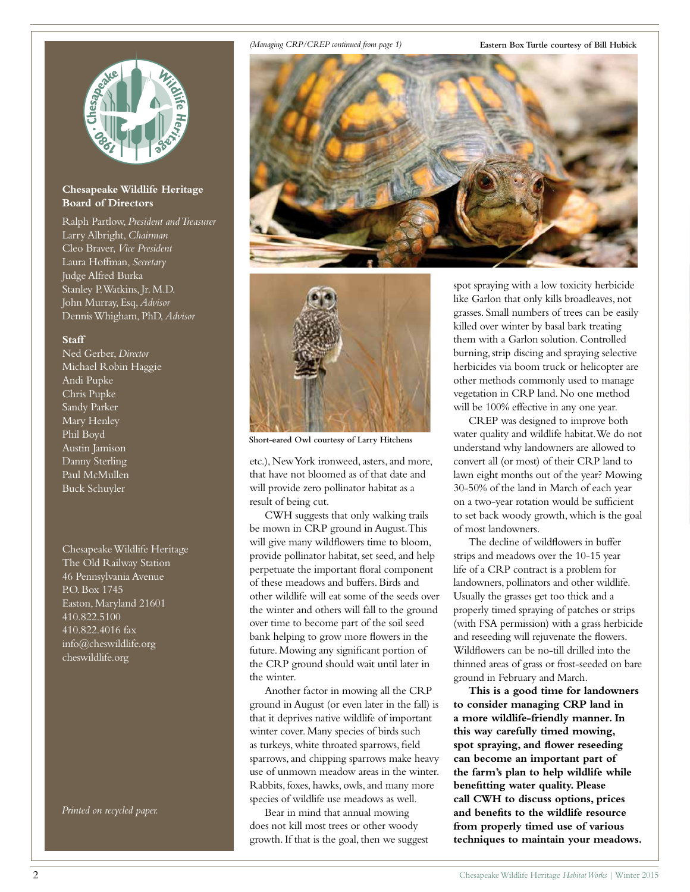#### **Chesapeake Wildlife Heritage Board of Directors**

Ralph Partlow, *President and Treasurer* Larry Albright, *Chairman* Cleo Braver, *Vice President* Laura Hoffman, *Secretary* Judge Alfred Burka Stanley P. Watkins, Jr. M.D. John Murray, Esq, *Advisor* Dennis Whigham, PhD, *Advisor*

#### **Staff**

Ned Gerber, *Director* Michael Robin Haggie Andi Pupke Chris Pupke Sandy Parker Mary Henley Phil Boyd Austin Jamison Danny Sterling Paul McMullen Buck Schuyler

Chesapeake Wildlife Heritage The Old Railway Station 46 Pennsylvania Avenue P.O. Box 1745 Easton, Maryland 21601 410.822.5100 410.822.4016 fax info@cheswildlife.org cheswildlife.org

*Printed on recycled paper.*

#### *(Managing CRP/CREP continued from page 1)*

**Eastern Box Turtle courtesy of Bill Hubick**





**Short-eared Owl courtesy of Larry Hitchens**

etc.), New York ironweed, asters, and more, that have not bloomed as of that date and will provide zero pollinator habitat as a result of being cut.

CWH suggests that only walking trails be mown in CRP ground in August. This will give many wildflowers time to bloom, provide pollinator habitat, set seed, and help perpetuate the important floral component of these meadows and buffers. Birds and other wildlife will eat some of the seeds over the winter and others will fall to the ground over time to become part of the soil seed bank helping to grow more flowers in the future. Mowing any significant portion of the CRP ground should wait until later in the winter.

Another factor in mowing all the CRP ground in August (or even later in the fall) is that it deprives native wildlife of important winter cover. Many species of birds such as turkeys, white throated sparrows, field sparrows, and chipping sparrows make heavy use of unmown meadow areas in the winter. Rabbits, foxes, hawks, owls, and many more species of wildlife use meadows as well.

Bear in mind that annual mowing does not kill most trees or other woody growth. If that is the goal, then we suggest spot spraying with a low toxicity herbicide like Garlon that only kills broadleaves, not grasses. Small numbers of trees can be easily killed over winter by basal bark treating them with a Garlon solution. Controlled burning, strip discing and spraying selective herbicides via boom truck or helicopter are other methods commonly used to manage vegetation in CRP land. No one method will be 100% effective in any one year.

CREP was designed to improve both water quality and wildlife habitat. We do not understand why landowners are allowed to convert all (or most) of their CRP land to lawn eight months out of the year? Mowing 30-50% of the land in March of each year on a two-year rotation would be sufficient to set back woody growth, which is the goal of most landowners.

The decline of wildflowers in buffer strips and meadows over the 10-15 year life of a CRP contract is a problem for landowners, pollinators and other wildlife. Usually the grasses get too thick and a properly timed spraying of patches or strips (with FSA permission) with a grass herbicide and reseeding will rejuvenate the flowers. Wildflowers can be no-till drilled into the thinned areas of grass or frost-seeded on bare ground in February and March.

**This is a good time for landowners to consider managing CRP land in a more wildlife-friendly manner. In this way carefully timed mowing, spot spraying, and flower reseeding can become an important part of the farm's plan to help wildlife while benefitting water quality. Please call CWH to discuss options, prices and benefits to the wildlife resource from properly timed use of various techniques to maintain your meadows.**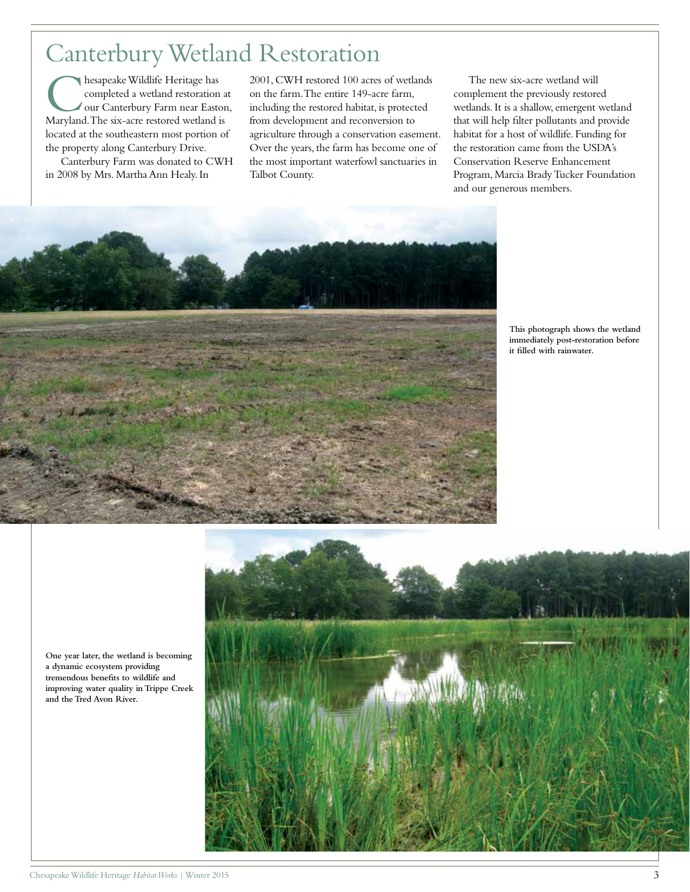## Canterbury Wetland Restoration

hesapeake Wildlife Heritage has completed a wetland restoration at our Canterbury Farm near Easton, Maryland. The six-acre restored wetland is located at the southeastern most portion of the property along Canterbury Drive.

Canterbury Farm was donated to CWH in 2008 by Mrs. Martha Ann Healy. In

2001, CWH restored 100 acres of wetlands on the farm. The entire 149-acre farm, including the restored habitat, is protected from development and reconversion to agriculture through a conservation easement. Over the years, the farm has become one of the most important waterfowl sanctuaries in Talbot County.

The new six-acre wetland will complement the previously restored wetlands. It is a shallow, emergent wetland that will help filter pollutants and provide habitat for a host of wildlife. Funding for the restoration came from the USDA's Conservation Reserve Enhancement Program, Marcia Brady Tucker Foundation and our generous members.

**This photograph shows the wetland immediately post-restoration before it filled with rainwater.**





**One year later, the wetland is becoming a dynamic ecosystem providing tremendous benefits to wildlife and improving water quality in Trippe Creek and the Tred Avon River.**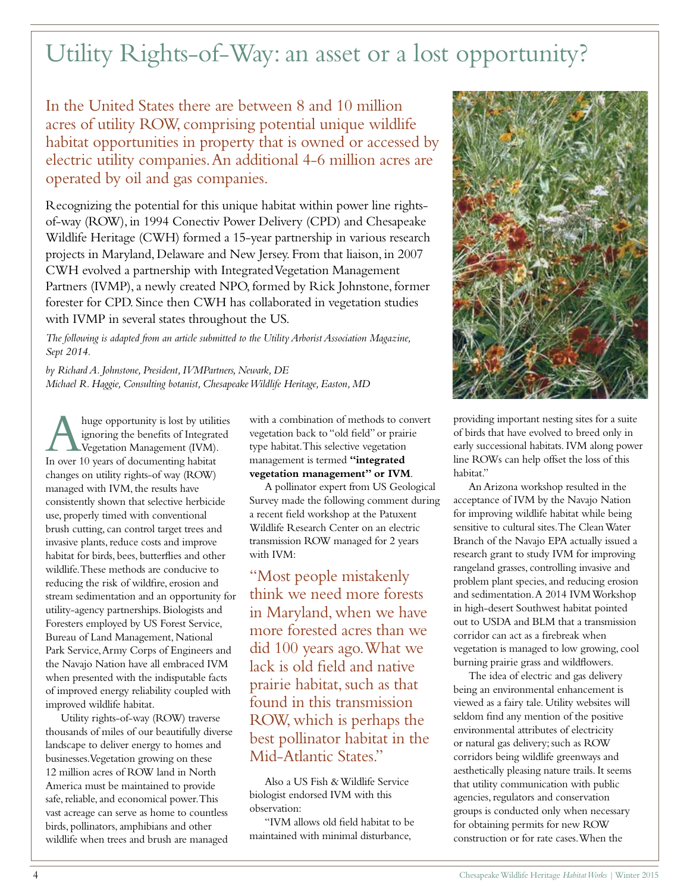# Utility Rights-of-Way: an asset or a lost opportunity?

In the United States there are between 8 and 10 million acres of utility ROW, comprising potential unique wildlife habitat opportunities in property that is owned or accessed by electric utility companies. An additional 4-6 million acres are operated by oil and gas companies.

Recognizing the potential for this unique habitat within power line rightsof-way (ROW), in 1994 Conectiv Power Delivery (CPD) and Chesapeake Wildlife Heritage (CWH) formed a 15-year partnership in various research projects in Maryland, Delaware and New Jersey. From that liaison, in 2007 CWH evolved a partnership with Integrated Vegetation Management Partners (IVMP), a newly created NPO, formed by Rick Johnstone, former forester for CPD. Since then CWH has collaborated in vegetation studies with IVMP in several states throughout the US.

*The following is adapted from an article submitted to the Utility Arborist Association Magazine, Sept 2014.*

*by Richard A. Johnstone, President, IVMPartners, Newark, DE Michael R. Haggie, Consulting botanist, Chesapeake Wildlife Heritage, Easton, MD*

A huge opportunity is lost by utilities<br>
Vegetation Management (IVM).<br>
In over 10 years of documenting habitat ignoring the benefits of Integrated In over 10 years of documenting habitat changes on utility rights-of way (ROW) managed with IVM, the results have consistently shown that selective herbicide use, properly timed with conventional brush cutting, can control target trees and invasive plants, reduce costs and improve habitat for birds, bees, butterflies and other wildlife. These methods are conducive to reducing the risk of wildfire, erosion and stream sedimentation and an opportunity for utility-agency partnerships. Biologists and Foresters employed by US Forest Service, Bureau of Land Management, National Park Service, Army Corps of Engineers and the Navajo Nation have all embraced IVM when presented with the indisputable facts of improved energy reliability coupled with improved wildlife habitat.

Utility rights-of-way (ROW) traverse thousands of miles of our beautifully diverse landscape to deliver energy to homes and businesses. Vegetation growing on these 12 million acres of ROW land in North America must be maintained to provide safe, reliable, and economical power. This vast acreage can serve as home to countless birds, pollinators, amphibians and other wildlife when trees and brush are managed

with a combination of methods to convert vegetation back to "old field" or prairie type habitat. This selective vegetation management is termed **"integrated vegetation management" or IVM**.

A pollinator expert from US Geological Survey made the following comment during a recent field workshop at the Patuxent Wildlife Research Center on an electric transmission ROW managed for 2 years with IVM:

"Most people mistakenly think we need more forests in Maryland, when we have more forested acres than we did 100 years ago. What we lack is old field and native prairie habitat, such as that found in this transmission ROW, which is perhaps the best pollinator habitat in the Mid-Atlantic States."

Also a US Fish & Wildlife Service biologist endorsed IVM with this observation:

"IVM allows old field habitat to be maintained with minimal disturbance,



providing important nesting sites for a suite of birds that have evolved to breed only in early successional habitats. IVM along power line ROWs can help offset the loss of this habitat."

An Arizona workshop resulted in the acceptance of IVM by the Navajo Nation for improving wildlife habitat while being sensitive to cultural sites. The Clean Water Branch of the Navajo EPA actually issued a research grant to study IVM for improving rangeland grasses, controlling invasive and problem plant species, and reducing erosion and sedimentation. A 2014 IVM Workshop in high-desert Southwest habitat pointed out to USDA and BLM that a transmission corridor can act as a firebreak when vegetation is managed to low growing, cool burning prairie grass and wildflowers.

The idea of electric and gas delivery being an environmental enhancement is viewed as a fairy tale. Utility websites will seldom find any mention of the positive environmental attributes of electricity or natural gas delivery; such as ROW corridors being wildlife greenways and aesthetically pleasing nature trails. It seems that utility communication with public agencies, regulators and conservation groups is conducted only when necessary for obtaining permits for new ROW construction or for rate cases. When the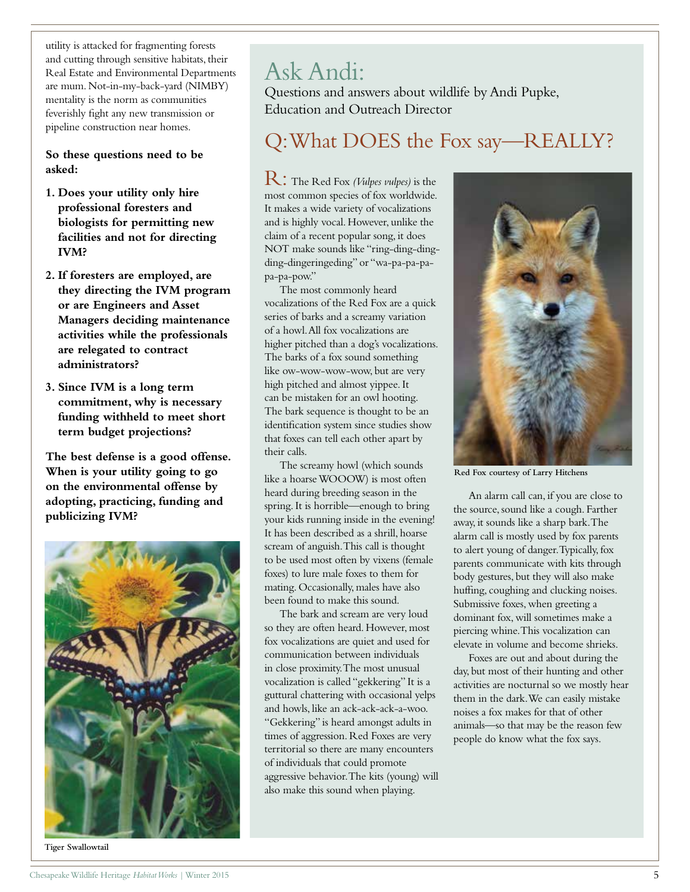utility is attacked for fragmenting forests and cutting through sensitive habitats, their Real Estate and Environmental Departments are mum. Not-in-my-back-yard (NIMBY) mentality is the norm as communities feverishly fight any new transmission or pipeline construction near homes.

**So these questions need to be asked:** 

- **1. Does your utility only hire professional foresters and biologists for permitting new facilities and not for directing IVM?**
- **2. If foresters are employed, are they directing the IVM program or are Engineers and Asset Managers deciding maintenance activities while the professionals are relegated to contract administrators?**
- **3. Since IVM is a long term commitment, why is necessary funding withheld to meet short term budget projections?**

**The best defense is a good offense. When is your utility going to go on the environmental offense by adopting, practicing, funding and publicizing IVM?**



Ask Andi:

Questions and answers about wildlife by Andi Pupke, Education and Outreach Director

## Q: What DOES the Fox say—REALLY?

R: The Red Fox *(Vulpes vulpes)* is the most common species of fox worldwide. It makes a wide variety of vocalizations and is highly vocal. However, unlike the claim of a recent popular song, it does NOT make sounds like "ring-ding-dingding-dingeringeding" or "wa-pa-pa-papa-pa-pow."

The most commonly heard vocalizations of the Red Fox are a quick series of barks and a screamy variation of a howl. All fox vocalizations are higher pitched than a dog's vocalizations. The barks of a fox sound something like ow-wow-wow-wow, but are very high pitched and almost yippee. It can be mistaken for an owl hooting. The bark sequence is thought to be an identification system since studies show that foxes can tell each other apart by their calls.

The screamy howl (which sounds like a hoarse WOOOW) is most often heard during breeding season in the spring. It is horrible—enough to bring your kids running inside in the evening! It has been described as a shrill, hoarse scream of anguish. This call is thought to be used most often by vixens (female foxes) to lure male foxes to them for mating. Occasionally, males have also been found to make this sound.

The bark and scream are very loud so they are often heard. However, most fox vocalizations are quiet and used for communication between individuals in close proximity. The most unusual vocalization is called "gekkering" It is a guttural chattering with occasional yelps and howls, like an ack-ack-ack-a-woo. "Gekkering" is heard amongst adults in times of aggression. Red Foxes are very territorial so there are many encounters of individuals that could promote aggressive behavior. The kits (young) will also make this sound when playing.



**Red Fox courtesy of Larry Hitchens**

An alarm call can, if you are close to the source, sound like a cough. Farther away, it sounds like a sharp bark. The alarm call is mostly used by fox parents to alert young of danger. Typically, fox parents communicate with kits through body gestures, but they will also make huffing, coughing and clucking noises. Submissive foxes, when greeting a dominant fox, will sometimes make a piercing whine. This vocalization can elevate in volume and become shrieks.

Foxes are out and about during the day, but most of their hunting and other activities are nocturnal so we mostly hear them in the dark. We can easily mistake noises a fox makes for that of other animals—so that may be the reason few people do know what the fox says.

**Tiger Swallowtail**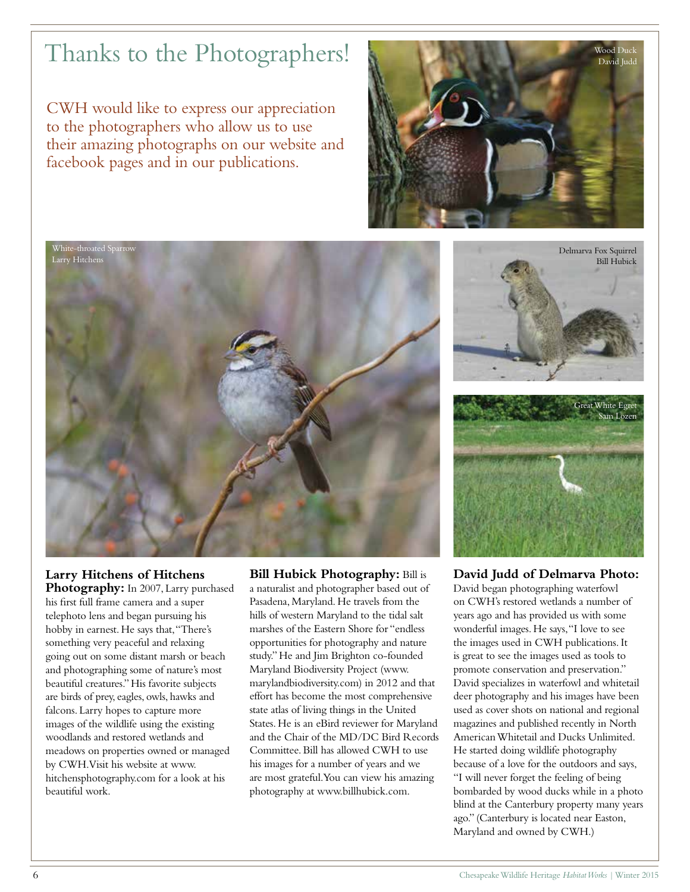## Thanks to the Photographers!

CWH would like to express our appreciation to the photographers who allow us to use their amazing photographs on our website and facebook pages and in our publications.





### **Larry Hitchens of Hitchens**

**Photography:** In 2007, Larry purchased his first full frame camera and a super telephoto lens and began pursuing his hobby in earnest. He says that, "There's something very peaceful and relaxing going out on some distant marsh or beach and photographing some of nature's most beautiful creatures." His favorite subjects are birds of prey, eagles, owls, hawks and falcons. Larry hopes to capture more images of the wildlife using the existing woodlands and restored wetlands and meadows on properties owned or managed by CWH. Visit his website at www. hitchensphotography.com for a look at his beautiful work.

**Bill Hubick Photography:** Bill is a naturalist and photographer based out of Pasadena, Maryland. He travels from the hills of western Maryland to the tidal salt marshes of the Eastern Shore for "endless opportunities for photography and nature study." He and Jim Brighton co-founded Maryland Biodiversity Project (www. marylandbiodiversity.com) in 2012 and that effort has become the most comprehensive state atlas of living things in the United States. He is an eBird reviewer for Maryland and the Chair of the MD/DC Bird Records Committee. Bill has allowed CWH to use his images for a number of years and we are most grateful. You can view his amazing photography at www.billhubick.com.



**David Judd of Delmarva Photo:** 

David began photographing waterfowl on CWH's restored wetlands a number of years ago and has provided us with some wonderful images. He says, "I love to see the images used in CWH publications. It is great to see the images used as tools to promote conservation and preservation." David specializes in waterfowl and whitetail deer photography and his images have been used as cover shots on national and regional magazines and published recently in North American Whitetail and Ducks Unlimited. He started doing wildlife photography because of a love for the outdoors and says, "I will never forget the feeling of being bombarded by wood ducks while in a photo blind at the Canterbury property many years ago." (Canterbury is located near Easton, Maryland and owned by CWH.)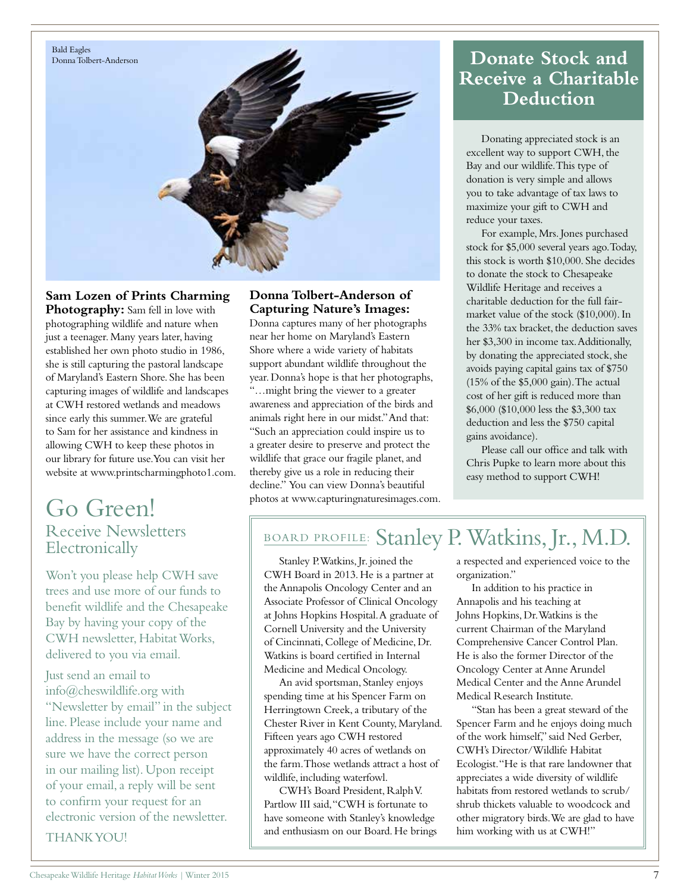

**Sam Lozen of Prints Charming**  Photography: Sam fell in love with photographing wildlife and nature when just a teenager. Many years later, having established her own photo studio in 1986, she is still capturing the pastoral landscape of Maryland's Eastern Shore. She has been capturing images of wildlife and landscapes at CWH restored wetlands and meadows since early this summer. We are grateful to Sam for her assistance and kindness in allowing CWH to keep these photos in our library for future use. You can visit her website at www.printscharmingphoto1.com.

### Go Green! Receive Newsletters Electronically

Won't you please help CWH save trees and use more of our funds to benefit wildlife and the Chesapeake Bay by having your copy of the CWH newsletter, Habitat Works, delivered to you via email.

Just send an email to info@cheswildlife.org with "Newsletter by email" in the subject line. Please include your name and address in the message (so we are sure we have the correct person in our mailing list). Upon receipt of your email, a reply will be sent to confirm your request for an electronic version of the newsletter.

THANK YOU!

#### **Donna Tolbert-Anderson of Capturing Nature's Images:**

Donna captures many of her photographs near her home on Maryland's Eastern Shore where a wide variety of habitats support abundant wildlife throughout the year. Donna's hope is that her photographs, "…might bring the viewer to a greater awareness and appreciation of the birds and animals right here in our midst." And that: "Such an appreciation could inspire us to a greater desire to preserve and protect the wildlife that grace our fragile planet, and thereby give us a role in reducing their decline." You can view Donna's beautiful photos at www.capturingnaturesimages.com.

### **Donate Stock and Receive a Charitable Deduction**

Donating appreciated stock is an excellent way to support CWH, the Bay and our wildlife. This type of donation is very simple and allows you to take advantage of tax laws to maximize your gift to CWH and reduce your taxes.

For example, Mrs. Jones purchased stock for \$5,000 several years ago. Today, this stock is worth \$10,000. She decides to donate the stock to Chesapeake Wildlife Heritage and receives a charitable deduction for the full fairmarket value of the stock (\$10,000). In the 33% tax bracket, the deduction saves her \$3,300 in income tax. Additionally, by donating the appreciated stock, she avoids paying capital gains tax of \$750 (15% of the \$5,000 gain). The actual cost of her gift is reduced more than \$6,000 (\$10,000 less the \$3,300 tax deduction and less the \$750 capital gains avoidance).

Please call our office and talk with Chris Pupke to learn more about this easy method to support CWH!

### BOARD PROFILE: Stanley P. Watkins, Jr., M.D.

Stanley P. Watkins, Jr. joined the CWH Board in 2013. He is a partner at the Annapolis Oncology Center and an Associate Professor of Clinical Oncology at Johns Hopkins Hospital. A graduate of Cornell University and the University of Cincinnati, College of Medicine, Dr. Watkins is board certified in Internal Medicine and Medical Oncology.

An avid sportsman, Stanley enjoys spending time at his Spencer Farm on Herringtown Creek, a tributary of the Chester River in Kent County, Maryland. Fifteen years ago CWH restored approximately 40 acres of wetlands on the farm. Those wetlands attract a host of wildlife, including waterfowl.

CWH's Board President, Ralph V. Partlow III said, "CWH is fortunate to have someone with Stanley's knowledge and enthusiasm on our Board. He brings a respected and experienced voice to the organization."

In addition to his practice in Annapolis and his teaching at Johns Hopkins, Dr. Watkins is the current Chairman of the Maryland Comprehensive Cancer Control Plan. He is also the former Director of the Oncology Center at Anne Arundel Medical Center and the Anne Arundel Medical Research Institute.

"Stan has been a great steward of the Spencer Farm and he enjoys doing much of the work himself," said Ned Gerber, CWH's Director/Wildlife Habitat Ecologist. "He is that rare landowner that appreciates a wide diversity of wildlife habitats from restored wetlands to scrub/ shrub thickets valuable to woodcock and other migratory birds. We are glad to have him working with us at CWH!"